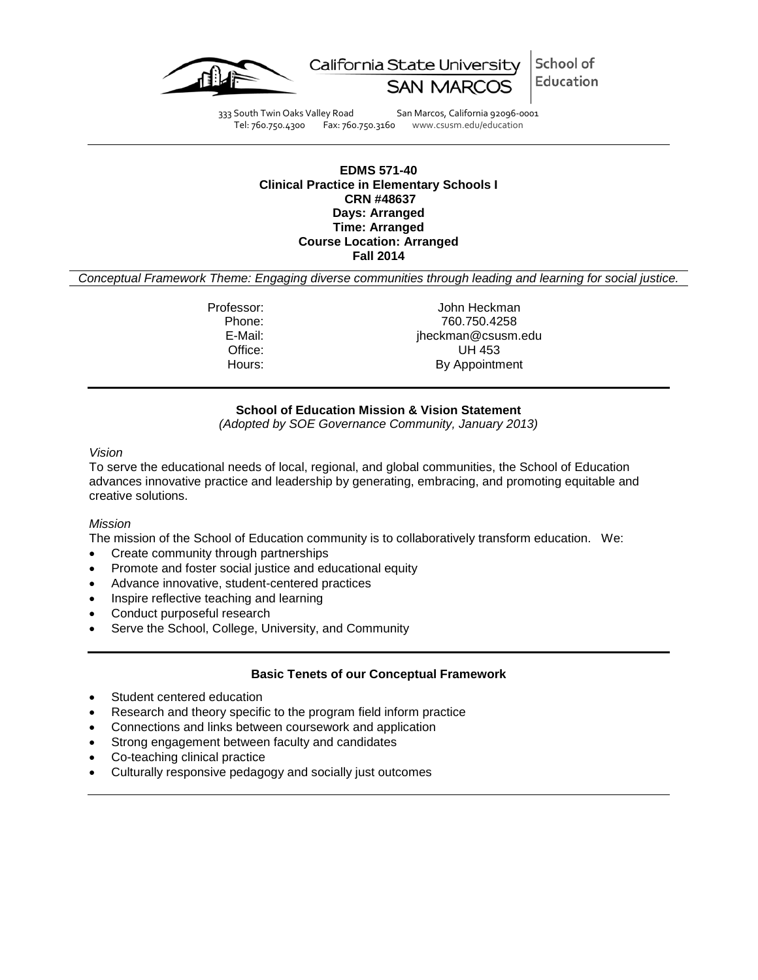

School of California State University Education

333 South Twin Oaks Valley Road San Marcos, California 92096-0001<br>Tel: 760.750.4300 Fax: 760.750.3160 www.csusm.edu/education Fax: 760.750.3160 www.csusm.edu/education

## **EDMS 571-40 Clinical Practice in Elementary Schools I CRN #48637 Days: Arranged Time: Arranged Course Location: Arranged Fall 2014**

*Conceptual Framework Theme: Engaging diverse communities through leading and learning for social justice.*

Professor: John Heckman<br>Phone: 760.750.4258 Phone: 760.750.4258 E-Mail: jheckman@csusm.edu Office: UH 453<br>
Hours: By Appointm By Appointment

# **School of Education Mission & Vision Statement**

*(Adopted by SOE Governance Community, January 2013)*

#### *Vision*

To serve the educational needs of local, regional, and global communities, the School of Education advances innovative practice and leadership by generating, embracing, and promoting equitable and creative solutions.

## *Mission*

The mission of the School of Education community is to collaboratively transform education. We:

- Create community through partnerships
- Promote and foster social justice and educational equity
- Advance innovative, student-centered practices
- Inspire reflective teaching and learning
- Conduct purposeful research
- Serve the School, College, University, and Community

## **Basic Tenets of our Conceptual Framework**

- Student centered education
- Research and theory specific to the program field inform practice
- Connections and links between coursework and application
- Strong engagement between faculty and candidates
- Co-teaching clinical practice
- Culturally responsive pedagogy and socially just outcomes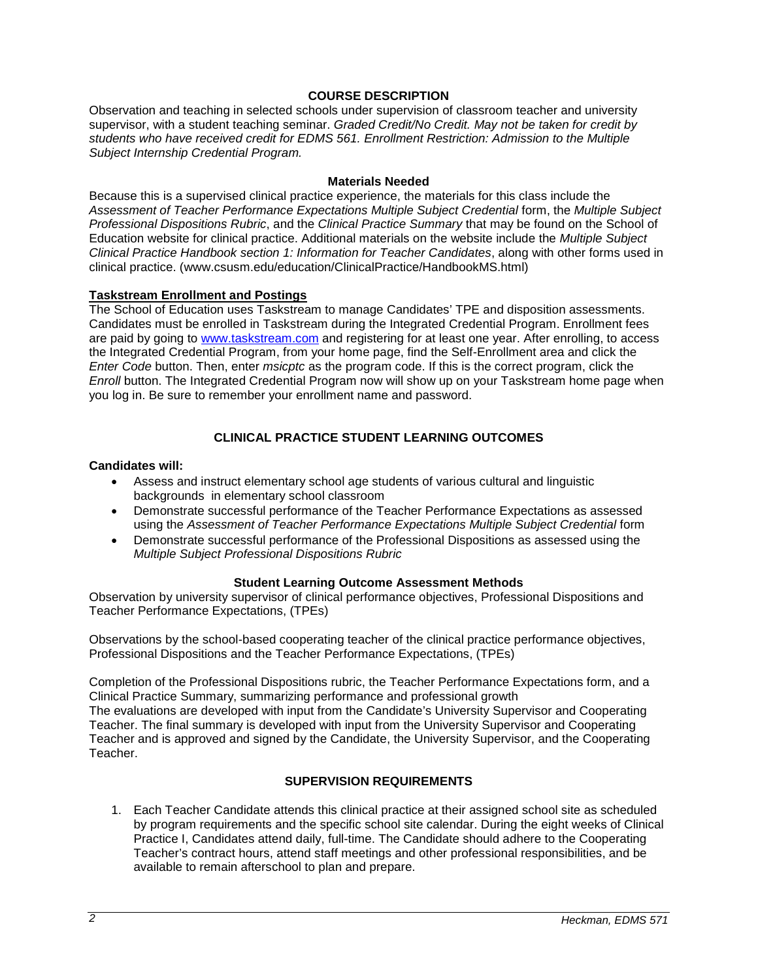## **COURSE DESCRIPTION**

Observation and teaching in selected schools under supervision of classroom teacher and university supervisor, with a student teaching seminar. *Graded Credit/No Credit. May not be taken for credit by students who have received credit for EDMS 561. Enrollment Restriction: Admission to the Multiple Subject Internship Credential Program.*

### **Materials Needed**

Because this is a supervised clinical practice experience, the materials for this class include the *Assessment of Teacher Performance Expectations Multiple Subject Credential* form, the *Multiple Subject Professional Dispositions Rubric*, and the *Clinical Practice Summary* that may be found on the School of Education website for clinical practice. Additional materials on the website include the *Multiple Subject Clinical Practice Handbook section 1: Information for Teacher Candidates*, along with other forms used in clinical practice. (www.csusm.edu/education/ClinicalPractice/HandbookMS.html)

## **Taskstream Enrollment and Postings**

The School of Education uses Taskstream to manage Candidates' TPE and disposition assessments. Candidates must be enrolled in Taskstream during the Integrated Credential Program. Enrollment fees are paid by going to [www.taskstream.com](http://www.taskstrem.com/) and registering for at least one year. After enrolling, to access the Integrated Credential Program, from your home page, find the Self-Enrollment area and click the *Enter Code* button. Then, enter *msicptc* as the program code. If this is the correct program, click the *Enroll* button. The Integrated Credential Program now will show up on your Taskstream home page when you log in. Be sure to remember your enrollment name and password.

## **CLINICAL PRACTICE STUDENT LEARNING OUTCOMES**

## **Candidates will:**

- Assess and instruct elementary school age students of various cultural and linguistic backgrounds in elementary school classroom
- Demonstrate successful performance of the Teacher Performance Expectations as assessed using the *Assessment of Teacher Performance Expectations Multiple Subject Credential* form
- Demonstrate successful performance of the Professional Dispositions as assessed using the *Multiple Subject Professional Dispositions Rubric*

## **Student Learning Outcome Assessment Methods**

Observation by university supervisor of clinical performance objectives, Professional Dispositions and Teacher Performance Expectations, (TPEs)

Observations by the school-based cooperating teacher of the clinical practice performance objectives, Professional Dispositions and the Teacher Performance Expectations, (TPEs)

Completion of the Professional Dispositions rubric, the Teacher Performance Expectations form, and a Clinical Practice Summary, summarizing performance and professional growth The evaluations are developed with input from the Candidate's University Supervisor and Cooperating Teacher. The final summary is developed with input from the University Supervisor and Cooperating Teacher and is approved and signed by the Candidate, the University Supervisor, and the Cooperating Teacher.

## **SUPERVISION REQUIREMENTS**

1. Each Teacher Candidate attends this clinical practice at their assigned school site as scheduled by program requirements and the specific school site calendar. During the eight weeks of Clinical Practice I, Candidates attend daily, full-time. The Candidate should adhere to the Cooperating Teacher's contract hours, attend staff meetings and other professional responsibilities, and be available to remain afterschool to plan and prepare.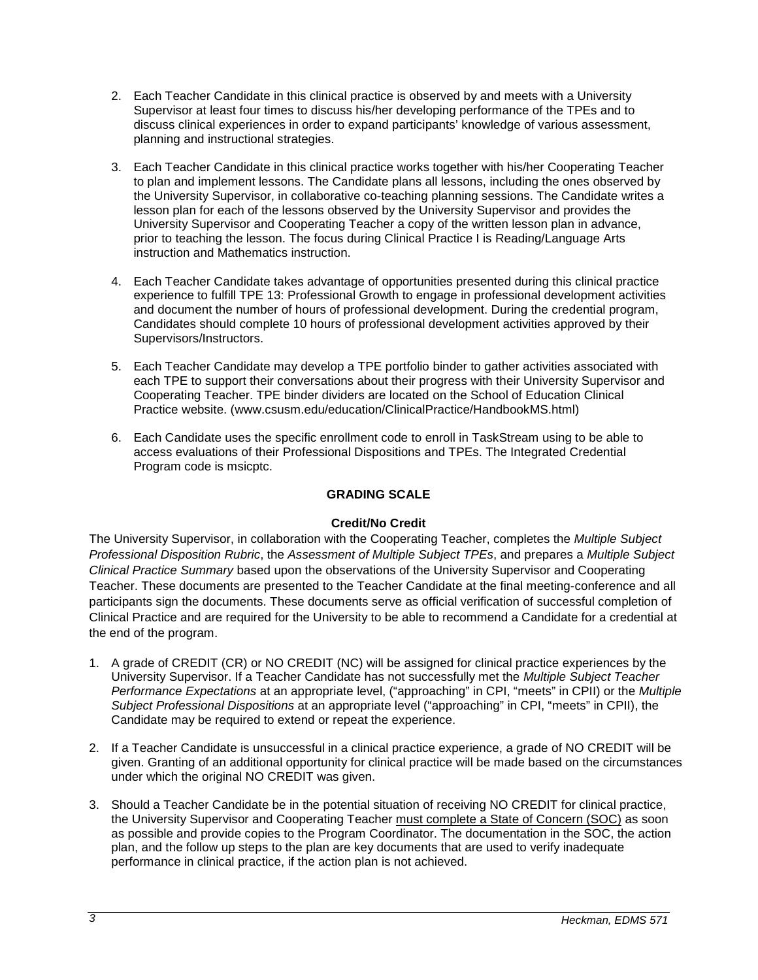- 2. Each Teacher Candidate in this clinical practice is observed by and meets with a University Supervisor at least four times to discuss his/her developing performance of the TPEs and to discuss clinical experiences in order to expand participants' knowledge of various assessment, planning and instructional strategies.
- 3. Each Teacher Candidate in this clinical practice works together with his/her Cooperating Teacher to plan and implement lessons. The Candidate plans all lessons, including the ones observed by the University Supervisor, in collaborative co-teaching planning sessions. The Candidate writes a lesson plan for each of the lessons observed by the University Supervisor and provides the University Supervisor and Cooperating Teacher a copy of the written lesson plan in advance, prior to teaching the lesson. The focus during Clinical Practice I is Reading/Language Arts instruction and Mathematics instruction.
- 4. Each Teacher Candidate takes advantage of opportunities presented during this clinical practice experience to fulfill TPE 13: Professional Growth to engage in professional development activities and document the number of hours of professional development. During the credential program, Candidates should complete 10 hours of professional development activities approved by their Supervisors/Instructors.
- 5. Each Teacher Candidate may develop a TPE portfolio binder to gather activities associated with each TPE to support their conversations about their progress with their University Supervisor and Cooperating Teacher. TPE binder dividers are located on the School of Education Clinical Practice website. (www.csusm.edu/education/ClinicalPractice/HandbookMS.html)
- 6. Each Candidate uses the specific enrollment code to enroll in TaskStream using to be able to access evaluations of their Professional Dispositions and TPEs. The Integrated Credential Program code is msicptc.

# **GRADING SCALE**

# **Credit/No Credit**

The University Supervisor, in collaboration with the Cooperating Teacher, completes the *Multiple Subject Professional Disposition Rubric*, the *Assessment of Multiple Subject TPEs*, and prepares a *Multiple Subject Clinical Practice Summary* based upon the observations of the University Supervisor and Cooperating Teacher. These documents are presented to the Teacher Candidate at the final meeting-conference and all participants sign the documents. These documents serve as official verification of successful completion of Clinical Practice and are required for the University to be able to recommend a Candidate for a credential at the end of the program.

- 1. A grade of CREDIT (CR) or NO CREDIT (NC) will be assigned for clinical practice experiences by the University Supervisor. If a Teacher Candidate has not successfully met the *Multiple Subject Teacher Performance Expectations* at an appropriate level, ("approaching" in CPI, "meets" in CPII) or the *Multiple Subject Professional Dispositions* at an appropriate level ("approaching" in CPI, "meets" in CPII), the Candidate may be required to extend or repeat the experience.
- 2. If a Teacher Candidate is unsuccessful in a clinical practice experience, a grade of NO CREDIT will be given. Granting of an additional opportunity for clinical practice will be made based on the circumstances under which the original NO CREDIT was given.
- 3. Should a Teacher Candidate be in the potential situation of receiving NO CREDIT for clinical practice, the University Supervisor and Cooperating Teacher must complete a State of Concern (SOC) as soon as possible and provide copies to the Program Coordinator. The documentation in the SOC, the action plan, and the follow up steps to the plan are key documents that are used to verify inadequate performance in clinical practice, if the action plan is not achieved.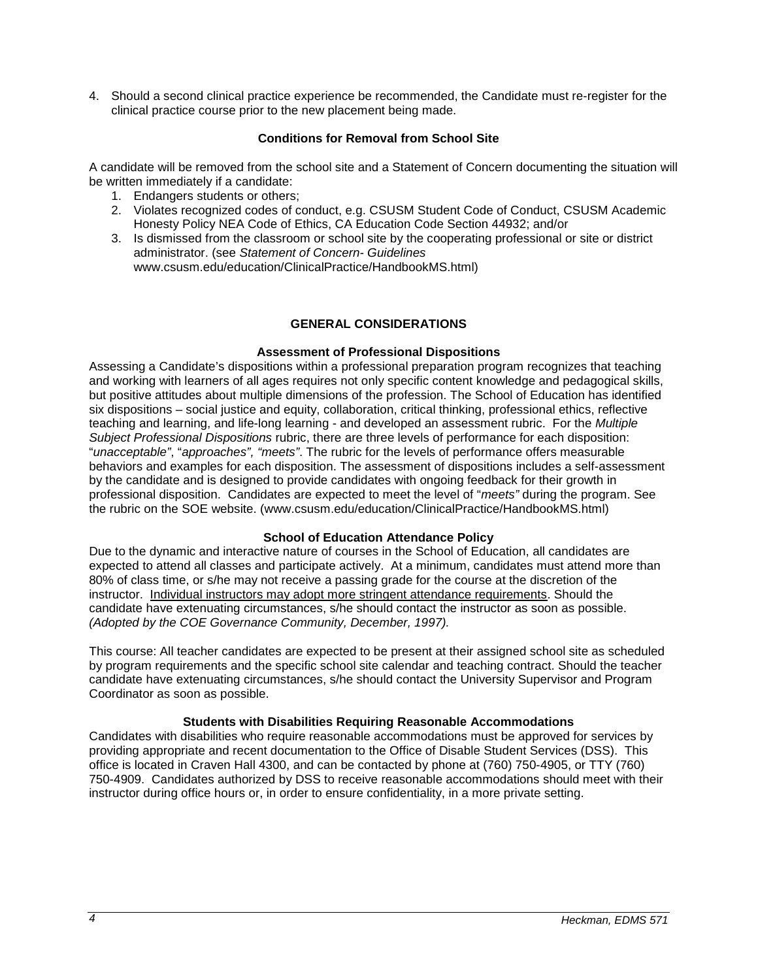4. Should a second clinical practice experience be recommended, the Candidate must re-register for the clinical practice course prior to the new placement being made.

## **Conditions for Removal from School Site**

A candidate will be removed from the school site and a Statement of Concern documenting the situation will be written immediately if a candidate:

- 1. Endangers students or others;
- 2. Violates recognized codes of conduct, e.g. CSUSM Student Code of Conduct, CSUSM Academic Honesty Policy NEA Code of Ethics, CA Education Code Section 44932; and/or
- 3. Is dismissed from the classroom or school site by the cooperating professional or site or district administrator. (see *Statement of Concern- Guidelines* www.csusm.edu/education/ClinicalPractice/HandbookMS.html)

# **GENERAL CONSIDERATIONS**

## **Assessment of Professional Dispositions**

Assessing a Candidate's dispositions within a professional preparation program recognizes that teaching and working with learners of all ages requires not only specific content knowledge and pedagogical skills, but positive attitudes about multiple dimensions of the profession. The School of Education has identified six dispositions – social justice and equity, collaboration, critical thinking, professional ethics, reflective teaching and learning, and life-long learning - and developed an assessment rubric. For the *Multiple Subject Professional Dispositions* rubric, there are three levels of performance for each disposition: "*unacceptable"*, "*approaches", "meets"*. The rubric for the levels of performance offers measurable behaviors and examples for each disposition. The assessment of dispositions includes a self-assessment by the candidate and is designed to provide candidates with ongoing feedback for their growth in professional disposition. Candidates are expected to meet the level of "*meets"* during the program. See the rubric on the SOE website. (www.csusm.edu/education/ClinicalPractice/HandbookMS.html)

# **School of Education Attendance Policy**

Due to the dynamic and interactive nature of courses in the School of Education, all candidates are expected to attend all classes and participate actively. At a minimum, candidates must attend more than 80% of class time, or s/he may not receive a passing grade for the course at the discretion of the instructor. Individual instructors may adopt more stringent attendance requirements. Should the candidate have extenuating circumstances, s/he should contact the instructor as soon as possible. *(Adopted by the COE Governance Community, December, 1997).*

This course: All teacher candidates are expected to be present at their assigned school site as scheduled by program requirements and the specific school site calendar and teaching contract. Should the teacher candidate have extenuating circumstances, s/he should contact the University Supervisor and Program Coordinator as soon as possible.

# **Students with Disabilities Requiring Reasonable Accommodations**

Candidates with disabilities who require reasonable accommodations must be approved for services by providing appropriate and recent documentation to the Office of Disable Student Services (DSS). This office is located in Craven Hall 4300, and can be contacted by phone at (760) 750-4905, or TTY (760) 750-4909. Candidates authorized by DSS to receive reasonable accommodations should meet with their instructor during office hours or, in order to ensure confidentiality, in a more private setting.